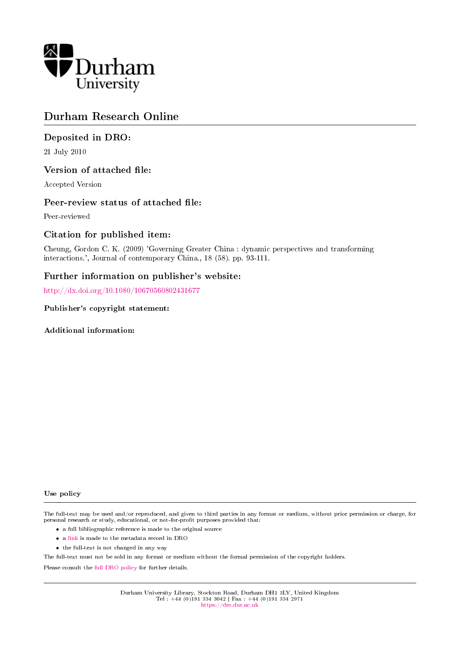

# Durham Research Online

## Deposited in DRO:

21 July 2010

## Version of attached file:

Accepted Version

## Peer-review status of attached file:

Peer-reviewed

## Citation for published item:

Cheung, Gordon C. K. (2009) 'Governing Greater China : dynamic perspectives and transforming interactions.', Journal of contemporary China., 18 (58). pp. 93-111.

## Further information on publisher's website:

<http://dx.doi.org/10.1080/10670560802431677>

Publisher's copyright statement:

Additional information:

#### Use policy

The full-text may be used and/or reproduced, and given to third parties in any format or medium, without prior permission or charge, for personal research or study, educational, or not-for-profit purposes provided that:

- a full bibliographic reference is made to the original source
- a [link](http://dro.dur.ac.uk/7102/) is made to the metadata record in DRO
- the full-text is not changed in any way

The full-text must not be sold in any format or medium without the formal permission of the copyright holders.

Please consult the [full DRO policy](https://dro.dur.ac.uk/policies/usepolicy.pdf) for further details.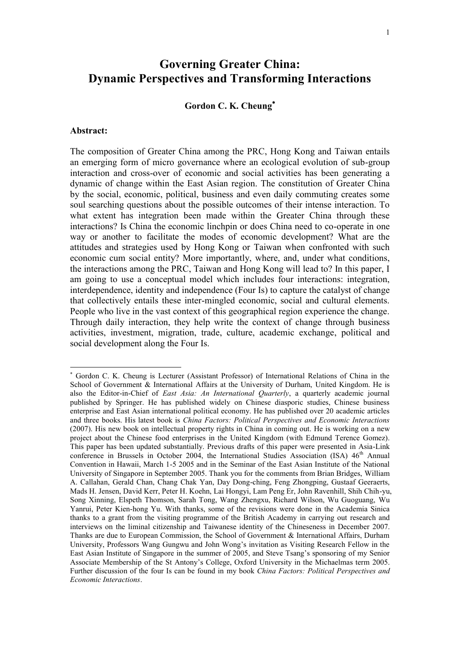# **Governing Greater China: Dynamic Perspectives and Transforming Interactions**

## **Gordon C. K. Cheung**

#### **Abstract:**

 $\overline{a}$ 

The composition of Greater China among the PRC, Hong Kong and Taiwan entails an emerging form of micro governance where an ecological evolution of sub-group interaction and cross-over of economic and social activities has been generating a dynamic of change within the East Asian region. The constitution of Greater China by the social, economic, political, business and even daily commuting creates some soul searching questions about the possible outcomes of their intense interaction. To what extent has integration been made within the Greater China through these interactions? Is China the economic linchpin or does China need to co-operate in one way or another to facilitate the modes of economic development? What are the attitudes and strategies used by Hong Kong or Taiwan when confronted with such economic cum social entity? More importantly, where, and, under what conditions, the interactions among the PRC, Taiwan and Hong Kong will lead to? In this paper, I am going to use a conceptual model which includes four interactions: integration, interdependence, identity and independence (Four Is) to capture the catalyst of change that collectively entails these inter-mingled economic, social and cultural elements. People who live in the vast context of this geographical region experience the change. Through daily interaction, they help write the context of change through business activities, investment, migration, trade, culture, academic exchange, political and social development along the Four Is.

Gordon C. K. Cheung is Lecturer (Assistant Professor) of International Relations of China in the School of Government & International Affairs at the University of Durham, United Kingdom. He is also the Editor-in-Chief of *East Asia: An International Quarterly*, a quarterly academic journal published by Springer. He has published widely on Chinese diasporic studies, Chinese business enterprise and East Asian international political economy. He has published over 20 academic articles and three books. His latest book is *China Factors: Political Perspectives and Economic Interactions* (2007). His new book on intellectual property rights in China in coming out. He is working on a new project about the Chinese food enterprises in the United Kingdom (with Edmund Terence Gomez). This paper has been updated substantially. Previous drafts of this paper were presented in Asia-Link conference in Brussels in October 2004, the International Studies Association (ISA) 46<sup>th</sup> Annual Convention in Hawaii, March 1-5 2005 and in the Seminar of the East Asian Institute of the National University of Singapore in September 2005. Thank you for the comments from Brian Bridges, William A. Callahan, Gerald Chan, Chang Chak Yan, Day Dong-ching, Feng Zhongping, Gustaaf Geeraerts, Mads H. Jensen, David Kerr, Peter H. Koehn, Lai Hongyi, Lam Peng Er, John Ravenhill, Shih Chih-yu, Song Xinning, Elspeth Thomson, Sarah Tong, Wang Zhengxu, Richard Wilson, Wu Guoguang, Wu Yanrui, Peter Kien-hong Yu. With thanks, some of the revisions were done in the Academia Sinica thanks to a grant from the visiting programme of the British Academy in carrying out research and interviews on the liminal citizenship and Taiwanese identity of the Chineseness in December 2007. Thanks are due to European Commission, the School of Government & International Affairs, Durham University, Professors Wang Gungwu and John Wong"s invitation as Visiting Research Fellow in the East Asian Institute of Singapore in the summer of 2005, and Steve Tsang"s sponsoring of my Senior Associate Membership of the St Antony"s College, Oxford University in the Michaelmas term 2005. Further discussion of the four Is can be found in my book *China Factors: Political Perspectives and Economic Interactions*.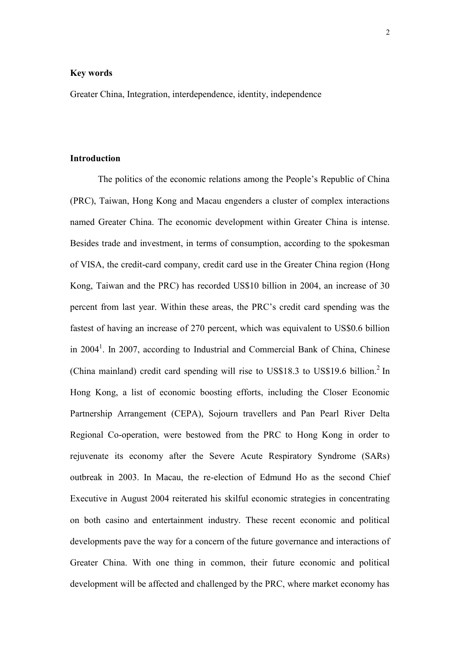#### **Key words**

Greater China, Integration, interdependence, identity, independence

## **Introduction**

The politics of the economic relations among the People"s Republic of China (PRC), Taiwan, Hong Kong and Macau engenders a cluster of complex interactions named Greater China. The economic development within Greater China is intense. Besides trade and investment, in terms of consumption, according to the spokesman of VISA, the credit-card company, credit card use in the Greater China region (Hong Kong, Taiwan and the PRC) has recorded US\$10 billion in 2004, an increase of 30 percent from last year. Within these areas, the PRC"s credit card spending was the fastest of having an increase of 270 percent, which was equivalent to US\$0.6 billion in 2004<sup>1</sup>. In 2007, according to Industrial and Commercial Bank of China, Chinese (China mainland) credit card spending will rise to US\$18.3 to US\$19.6 billion.<sup>2</sup> In Hong Kong, a list of economic boosting efforts, including the Closer Economic Partnership Arrangement (CEPA), Sojourn travellers and Pan Pearl River Delta Regional Co-operation, were bestowed from the PRC to Hong Kong in order to rejuvenate its economy after the Severe Acute Respiratory Syndrome (SARs) outbreak in 2003. In Macau, the re-election of Edmund Ho as the second Chief Executive in August 2004 reiterated his skilful economic strategies in concentrating on both casino and entertainment industry. These recent economic and political developments pave the way for a concern of the future governance and interactions of Greater China. With one thing in common, their future economic and political development will be affected and challenged by the PRC, where market economy has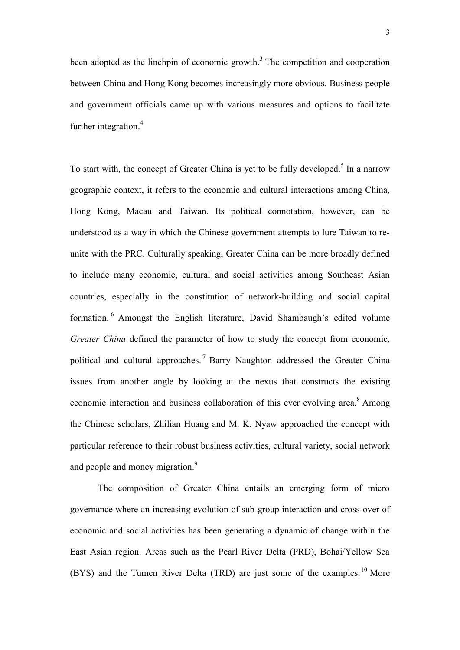been adopted as the linchpin of economic growth.<sup>3</sup> The competition and cooperation between China and Hong Kong becomes increasingly more obvious. Business people and government officials came up with various measures and options to facilitate further integration. 4

To start with, the concept of Greater China is yet to be fully developed.<sup>5</sup> In a narrow geographic context, it refers to the economic and cultural interactions among China, Hong Kong, Macau and Taiwan. Its political connotation, however, can be understood as a way in which the Chinese government attempts to lure Taiwan to reunite with the PRC. Culturally speaking, Greater China can be more broadly defined to include many economic, cultural and social activities among Southeast Asian countries, especially in the constitution of network-building and social capital formation.<sup>6</sup> Amongst the English literature, David Shambaugh's edited volume *Greater China* defined the parameter of how to study the concept from economic, political and cultural approaches. <sup>7</sup> Barry Naughton addressed the Greater China issues from another angle by looking at the nexus that constructs the existing economic interaction and business collaboration of this ever evolving area.<sup>8</sup> Among the Chinese scholars, Zhilian Huang and M. K. Nyaw approached the concept with particular reference to their robust business activities, cultural variety, social network and people and money migration.<sup>9</sup>

The composition of Greater China entails an emerging form of micro governance where an increasing evolution of sub-group interaction and cross-over of economic and social activities has been generating a dynamic of change within the East Asian region. Areas such as the Pearl River Delta (PRD), Bohai/Yellow Sea (BYS) and the Tumen River Delta (TRD) are just some of the examples.<sup>10</sup> More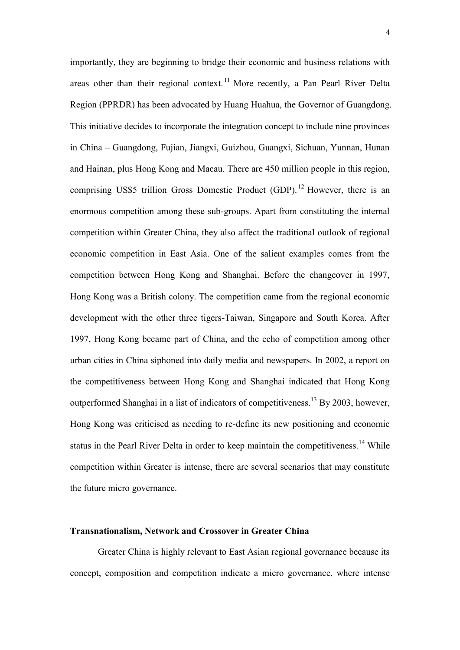importantly, they are beginning to bridge their economic and business relations with areas other than their regional context.<sup>11</sup> More recently, a Pan Pearl River Delta Region (PPRDR) has been advocated by Huang Huahua, the Governor of Guangdong. This initiative decides to incorporate the integration concept to include nine provinces in China – Guangdong, Fujian, Jiangxi, Guizhou, Guangxi, Sichuan, Yunnan, Hunan and Hainan, plus Hong Kong and Macau. There are 450 million people in this region, comprising US\$5 trillion Gross Domestic Product  $(GDP)$ .<sup>12</sup> However, there is an enormous competition among these sub-groups. Apart from constituting the internal competition within Greater China, they also affect the traditional outlook of regional economic competition in East Asia. One of the salient examples comes from the competition between Hong Kong and Shanghai. Before the changeover in 1997, Hong Kong was a British colony. The competition came from the regional economic development with the other three tigers-Taiwan, Singapore and South Korea. After 1997, Hong Kong became part of China, and the echo of competition among other urban cities in China siphoned into daily media and newspapers. In 2002, a report on the competitiveness between Hong Kong and Shanghai indicated that Hong Kong outperformed Shanghai in a list of indicators of competitiveness.<sup>13</sup> By 2003, however, Hong Kong was criticised as needing to re-define its new positioning and economic status in the Pearl River Delta in order to keep maintain the competitiveness.<sup>14</sup> While competition within Greater is intense, there are several scenarios that may constitute the future micro governance.

#### **Transnationalism, Network and Crossover in Greater China**

Greater China is highly relevant to East Asian regional governance because its concept, composition and competition indicate a micro governance, where intense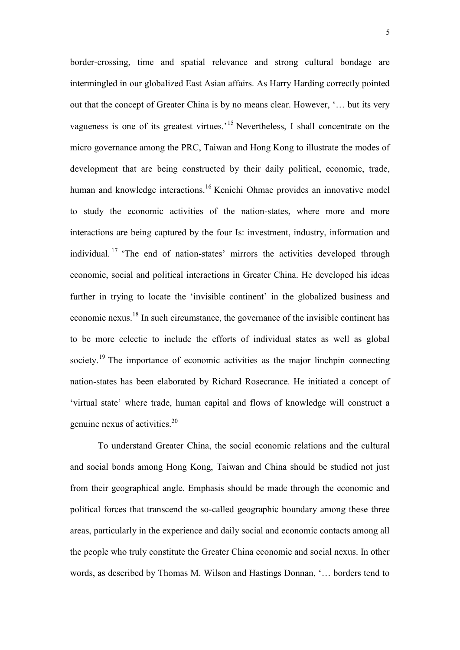border-crossing, time and spatial relevance and strong cultural bondage are intermingled in our globalized East Asian affairs. As Harry Harding correctly pointed out that the concept of Greater China is by no means clear. However, '... but its very vagueness is one of its greatest virtues.<sup> $15$ </sup> Nevertheless, I shall concentrate on the micro governance among the PRC, Taiwan and Hong Kong to illustrate the modes of development that are being constructed by their daily political, economic, trade, human and knowledge interactions.<sup>16</sup> Kenichi Ohmae provides an innovative model to study the economic activities of the nation-states, where more and more interactions are being captured by the four Is: investment, industry, information and individual.<sup>17</sup> The end of nation-states' mirrors the activities developed through economic, social and political interactions in Greater China. He developed his ideas further in trying to locate the 'invisible continent' in the globalized business and economic nexus.<sup>18</sup> In such circumstance, the governance of the invisible continent has to be more eclectic to include the efforts of individual states as well as global society.<sup>19</sup> The importance of economic activities as the major linchpin connecting nation-states has been elaborated by Richard Rosecrance. He initiated a concept of "virtual state" where trade, human capital and flows of knowledge will construct a genuine nexus of activities.<sup>20</sup>

To understand Greater China, the social economic relations and the cultural and social bonds among Hong Kong, Taiwan and China should be studied not just from their geographical angle. Emphasis should be made through the economic and political forces that transcend the so-called geographic boundary among these three areas, particularly in the experience and daily social and economic contacts among all the people who truly constitute the Greater China economic and social nexus. In other words, as described by Thomas M. Wilson and Hastings Donnan, '... borders tend to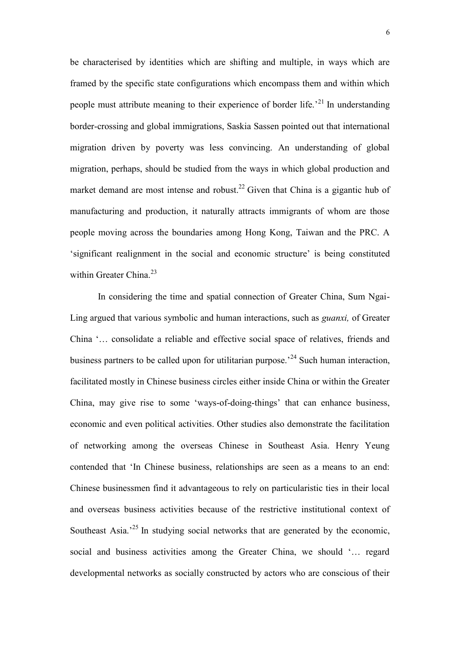be characterised by identities which are shifting and multiple, in ways which are framed by the specific state configurations which encompass them and within which people must attribute meaning to their experience of border life.<sup> $21$ </sup> In understanding border-crossing and global immigrations, Saskia Sassen pointed out that international migration driven by poverty was less convincing. An understanding of global migration, perhaps, should be studied from the ways in which global production and market demand are most intense and robust.<sup>22</sup> Given that China is a gigantic hub of manufacturing and production, it naturally attracts immigrants of whom are those people moving across the boundaries among Hong Kong, Taiwan and the PRC. A 'significant realignment in the social and economic structure' is being constituted within Greater China. $^{23}$ 

In considering the time and spatial connection of Greater China, Sum Ngai-Ling argued that various symbolic and human interactions, such as *guanxi,* of Greater China "… consolidate a reliable and effective social space of relatives, friends and business partners to be called upon for utilitarian purpose.<sup> $24$ </sup> Such human interaction, facilitated mostly in Chinese business circles either inside China or within the Greater China, may give rise to some "ways-of-doing-things" that can enhance business, economic and even political activities. Other studies also demonstrate the facilitation of networking among the overseas Chinese in Southeast Asia. Henry Yeung contended that "In Chinese business, relationships are seen as a means to an end: Chinese businessmen find it advantageous to rely on particularistic ties in their local and overseas business activities because of the restrictive institutional context of Southeast Asia.<sup>25</sup> In studying social networks that are generated by the economic, social and business activities among the Greater China, we should '... regard developmental networks as socially constructed by actors who are conscious of their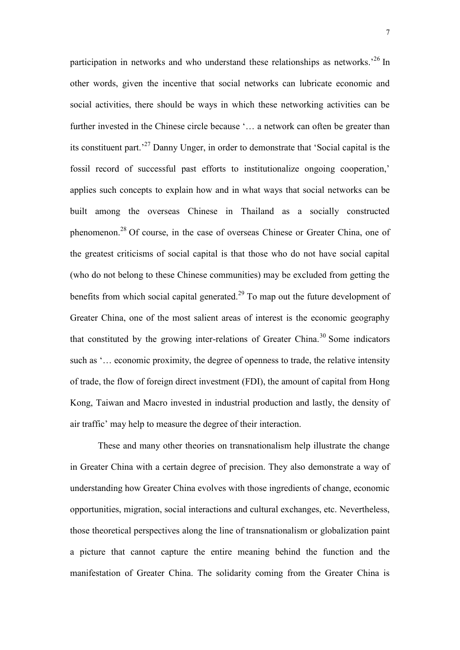participation in networks and who understand these relationships as networks.<sup>26</sup> In other words, given the incentive that social networks can lubricate economic and social activities, there should be ways in which these networking activities can be further invested in the Chinese circle because '... a network can often be greater than its constituent part. $127$  Danny Unger, in order to demonstrate that 'Social capital is the fossil record of successful past efforts to institutionalize ongoing cooperation, applies such concepts to explain how and in what ways that social networks can be built among the overseas Chinese in Thailand as a socially constructed phenomenon.<sup>28</sup> Of course, in the case of overseas Chinese or Greater China, one of the greatest criticisms of social capital is that those who do not have social capital (who do not belong to these Chinese communities) may be excluded from getting the benefits from which social capital generated.<sup>29</sup> To map out the future development of Greater China, one of the most salient areas of interest is the economic geography that constituted by the growing inter-relations of Greater China.<sup>30</sup> Some indicators such as '... economic proximity, the degree of openness to trade, the relative intensity of trade, the flow of foreign direct investment (FDI), the amount of capital from Hong Kong, Taiwan and Macro invested in industrial production and lastly, the density of air traffic' may help to measure the degree of their interaction.

These and many other theories on transnationalism help illustrate the change in Greater China with a certain degree of precision. They also demonstrate a way of understanding how Greater China evolves with those ingredients of change, economic opportunities, migration, social interactions and cultural exchanges, etc. Nevertheless, those theoretical perspectives along the line of transnationalism or globalization paint a picture that cannot capture the entire meaning behind the function and the manifestation of Greater China. The solidarity coming from the Greater China is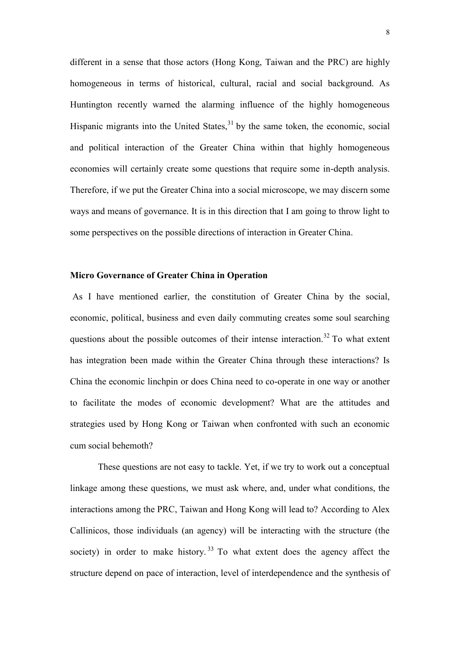different in a sense that those actors (Hong Kong, Taiwan and the PRC) are highly homogeneous in terms of historical, cultural, racial and social background. As Huntington recently warned the alarming influence of the highly homogeneous Hispanic migrants into the United States, $31$  by the same token, the economic, social and political interaction of the Greater China within that highly homogeneous economies will certainly create some questions that require some in-depth analysis. Therefore, if we put the Greater China into a social microscope, we may discern some ways and means of governance. It is in this direction that I am going to throw light to some perspectives on the possible directions of interaction in Greater China.

## **Micro Governance of Greater China in Operation**

As I have mentioned earlier, the constitution of Greater China by the social, economic, political, business and even daily commuting creates some soul searching questions about the possible outcomes of their intense interaction.<sup>32</sup> To what extent has integration been made within the Greater China through these interactions? Is China the economic linchpin or does China need to co-operate in one way or another to facilitate the modes of economic development? What are the attitudes and strategies used by Hong Kong or Taiwan when confronted with such an economic cum social behemoth?

These questions are not easy to tackle. Yet, if we try to work out a conceptual linkage among these questions, we must ask where, and, under what conditions, the interactions among the PRC, Taiwan and Hong Kong will lead to? According to Alex Callinicos, those individuals (an agency) will be interacting with the structure (the society) in order to make history.<sup>33</sup> To what extent does the agency affect the structure depend on pace of interaction, level of interdependence and the synthesis of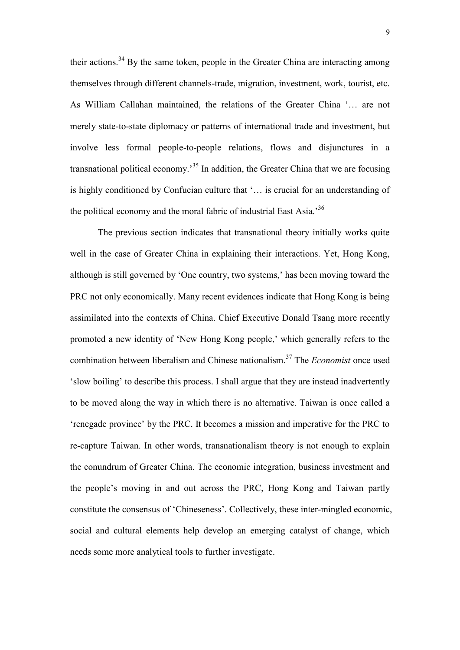their actions.<sup>34</sup> By the same token, people in the Greater China are interacting among themselves through different channels-trade, migration, investment, work, tourist, etc. As William Callahan maintained, the relations of the Greater China "… are not merely state-to-state diplomacy or patterns of international trade and investment, but involve less formal people-to-people relations, flows and disjunctures in a transnational political economy.<sup>35</sup> In addition, the Greater China that we are focusing is highly conditioned by Confucian culture that "… is crucial for an understanding of the political economy and the moral fabric of industrial East Asia.<sup>36</sup>

The previous section indicates that transnational theory initially works quite well in the case of Greater China in explaining their interactions. Yet, Hong Kong, although is still governed by 'One country, two systems,' has been moving toward the PRC not only economically. Many recent evidences indicate that Hong Kong is being assimilated into the contexts of China. Chief Executive Donald Tsang more recently promoted a new identity of "New Hong Kong people," which generally refers to the combination between liberalism and Chinese nationalism.<sup>37</sup> The *Economist* once used "slow boiling" to describe this process. I shall argue that they are instead inadvertently to be moved along the way in which there is no alternative. Taiwan is once called a "renegade province" by the PRC. It becomes a mission and imperative for the PRC to re-capture Taiwan. In other words, transnationalism theory is not enough to explain the conundrum of Greater China. The economic integration, business investment and the people"s moving in and out across the PRC, Hong Kong and Taiwan partly constitute the consensus of "Chineseness". Collectively, these inter-mingled economic, social and cultural elements help develop an emerging catalyst of change, which needs some more analytical tools to further investigate.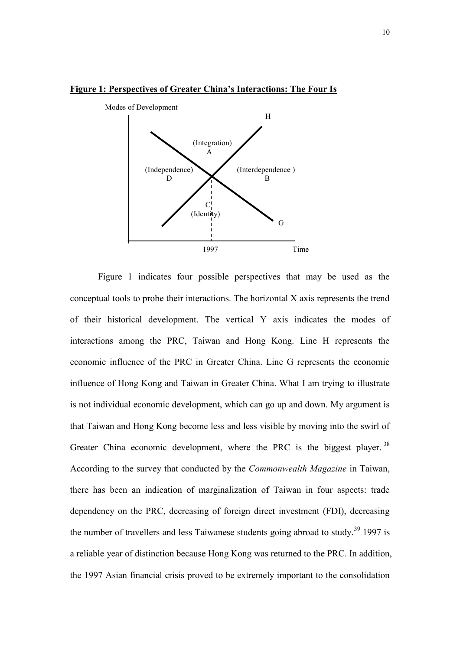

#### **Figure 1: Perspectives of Greater China's Interactions: The Four Is**

Figure 1 indicates four possible perspectives that may be used as the conceptual tools to probe their interactions. The horizontal X axis represents the trend of their historical development. The vertical Y axis indicates the modes of interactions among the PRC, Taiwan and Hong Kong. Line H represents the economic influence of the PRC in Greater China. Line G represents the economic influence of Hong Kong and Taiwan in Greater China. What I am trying to illustrate is not individual economic development, which can go up and down. My argument is that Taiwan and Hong Kong become less and less visible by moving into the swirl of Greater China economic development, where the PRC is the biggest player.  $38$ According to the survey that conducted by the *Commonwealth Magazine* in Taiwan, there has been an indication of marginalization of Taiwan in four aspects: trade dependency on the PRC, decreasing of foreign direct investment (FDI), decreasing the number of travellers and less Taiwanese students going abroad to study.<sup>39</sup> 1997 is a reliable year of distinction because Hong Kong was returned to the PRC. In addition, the 1997 Asian financial crisis proved to be extremely important to the consolidation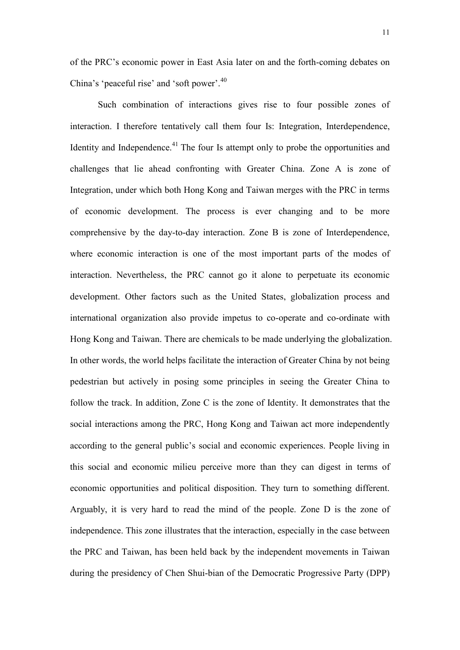of the PRC"s economic power in East Asia later on and the forth-coming debates on China's 'peaceful rise' and 'soft power'.<sup>40</sup>

Such combination of interactions gives rise to four possible zones of interaction. I therefore tentatively call them four Is: Integration, Interdependence, Identity and Independence.<sup>41</sup> The four Is attempt only to probe the opportunities and challenges that lie ahead confronting with Greater China. Zone A is zone of Integration, under which both Hong Kong and Taiwan merges with the PRC in terms of economic development. The process is ever changing and to be more comprehensive by the day-to-day interaction. Zone B is zone of Interdependence, where economic interaction is one of the most important parts of the modes of interaction. Nevertheless, the PRC cannot go it alone to perpetuate its economic development. Other factors such as the United States, globalization process and international organization also provide impetus to co-operate and co-ordinate with Hong Kong and Taiwan. There are chemicals to be made underlying the globalization. In other words, the world helps facilitate the interaction of Greater China by not being pedestrian but actively in posing some principles in seeing the Greater China to follow the track. In addition, Zone C is the zone of Identity. It demonstrates that the social interactions among the PRC, Hong Kong and Taiwan act more independently according to the general public's social and economic experiences. People living in this social and economic milieu perceive more than they can digest in terms of economic opportunities and political disposition. They turn to something different. Arguably, it is very hard to read the mind of the people. Zone D is the zone of independence. This zone illustrates that the interaction, especially in the case between the PRC and Taiwan, has been held back by the independent movements in Taiwan during the presidency of Chen Shui-bian of the Democratic Progressive Party (DPP)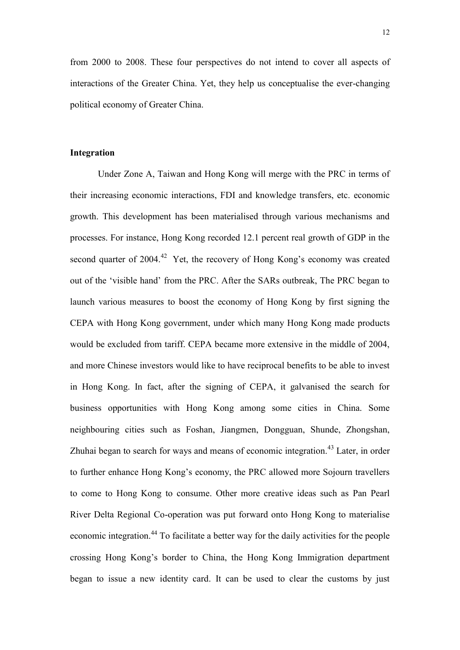from 2000 to 2008. These four perspectives do not intend to cover all aspects of interactions of the Greater China. Yet, they help us conceptualise the ever-changing political economy of Greater China.

#### **Integration**

Under Zone A, Taiwan and Hong Kong will merge with the PRC in terms of their increasing economic interactions, FDI and knowledge transfers, etc. economic growth. This development has been materialised through various mechanisms and processes. For instance, Hong Kong recorded 12.1 percent real growth of GDP in the second quarter of 2004.<sup>42</sup> Yet, the recovery of Hong Kong's economy was created out of the "visible hand" from the PRC. After the SARs outbreak, The PRC began to launch various measures to boost the economy of Hong Kong by first signing the CEPA with Hong Kong government, under which many Hong Kong made products would be excluded from tariff. CEPA became more extensive in the middle of 2004, and more Chinese investors would like to have reciprocal benefits to be able to invest in Hong Kong. In fact, after the signing of CEPA, it galvanised the search for business opportunities with Hong Kong among some cities in China. Some neighbouring cities such as Foshan, Jiangmen, Dongguan, Shunde, Zhongshan, Zhuhai began to search for ways and means of economic integration.<sup>43</sup> Later, in order to further enhance Hong Kong"s economy, the PRC allowed more Sojourn travellers to come to Hong Kong to consume. Other more creative ideas such as Pan Pearl River Delta Regional Co-operation was put forward onto Hong Kong to materialise economic integration.<sup>44</sup> To facilitate a better way for the daily activities for the people crossing Hong Kong"s border to China, the Hong Kong Immigration department began to issue a new identity card. It can be used to clear the customs by just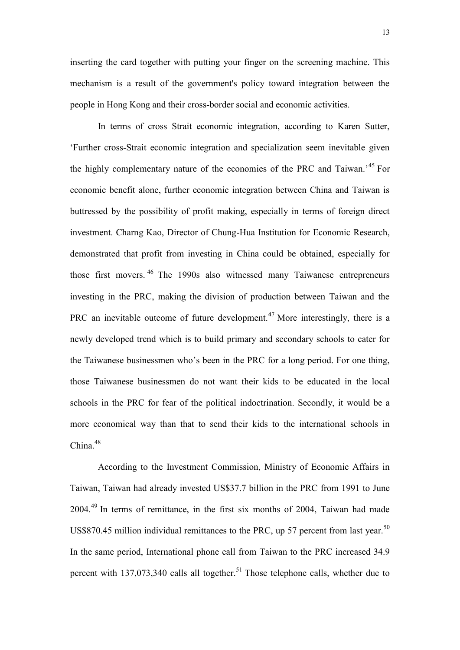inserting the card together with putting your finger on the screening machine. This mechanism is a result of the government's policy toward integration between the people in Hong Kong and their cross-border social and economic activities.

In terms of cross Strait economic integration, according to Karen Sutter, "Further cross-Strait economic integration and specialization seem inevitable given the highly complementary nature of the economies of the PRC and Taiwan.<sup>45</sup> For economic benefit alone, further economic integration between China and Taiwan is buttressed by the possibility of profit making, especially in terms of foreign direct investment. Charng Kao, Director of Chung-Hua Institution for Economic Research, demonstrated that profit from investing in China could be obtained, especially for those first movers.<sup>46</sup> The 1990s also witnessed many Taiwanese entrepreneurs investing in the PRC, making the division of production between Taiwan and the PRC an inevitable outcome of future development.<sup>47</sup> More interestingly, there is a newly developed trend which is to build primary and secondary schools to cater for the Taiwanese businessmen who"s been in the PRC for a long period. For one thing, those Taiwanese businessmen do not want their kids to be educated in the local schools in the PRC for fear of the political indoctrination. Secondly, it would be a more economical way than that to send their kids to the international schools in China.<sup>48</sup>

According to the Investment Commission, Ministry of Economic Affairs in Taiwan, Taiwan had already invested US\$37.7 billion in the PRC from 1991 to June 2004.<sup>49</sup> In terms of remittance, in the first six months of 2004, Taiwan had made US\$870.45 million individual remittances to the PRC, up 57 percent from last year.<sup>50</sup> In the same period, International phone call from Taiwan to the PRC increased 34.9 percent with  $137,073,340$  calls all together.<sup>51</sup> Those telephone calls, whether due to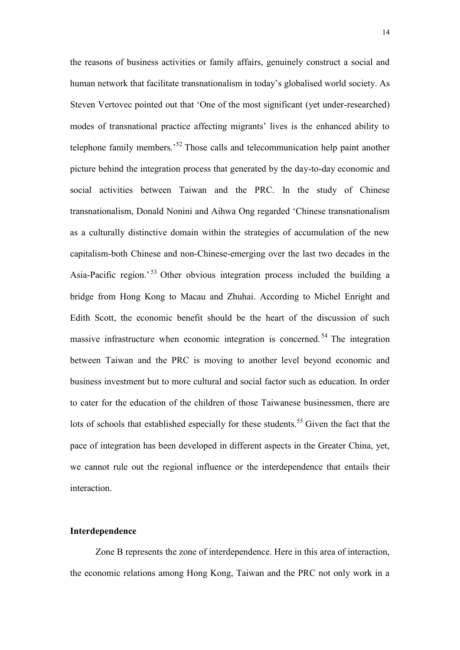the reasons of business activities or family affairs, genuinely construct a social and human network that facilitate transnationalism in today"s globalised world society. As Steven Vertovec pointed out that "One of the most significant (yet under-researched) modes of transnational practice affecting migrants' lives is the enhanced ability to telephone family members.<sup>52</sup> Those calls and telecommunication help paint another picture behind the integration process that generated by the day-to-day economic and social activities between Taiwan and the PRC. In the study of Chinese transnationalism, Donald Nonini and Aihwa Ong regarded "Chinese transnationalism as a culturally distinctive domain within the strategies of accumulation of the new capitalism-both Chinese and non-Chinese-emerging over the last two decades in the Asia-Pacific region.<sup>53</sup> Other obvious integration process included the building a bridge from Hong Kong to Macau and Zhuhai. According to Michel Enright and Edith Scott, the economic benefit should be the heart of the discussion of such massive infrastructure when economic integration is concerned.<sup>54</sup> The integration between Taiwan and the PRC is moving to another level beyond economic and business investment but to more cultural and social factor such as education. In order to cater for the education of the children of those Taiwanese businessmen, there are lots of schools that established especially for these students.<sup>55</sup> Given the fact that the pace of integration has been developed in different aspects in the Greater China, yet, we cannot rule out the regional influence or the interdependence that entails their interaction.

#### **Interdependence**

Zone B represents the zone of interdependence. Here in this area of interaction, the economic relations among Hong Kong, Taiwan and the PRC not only work in a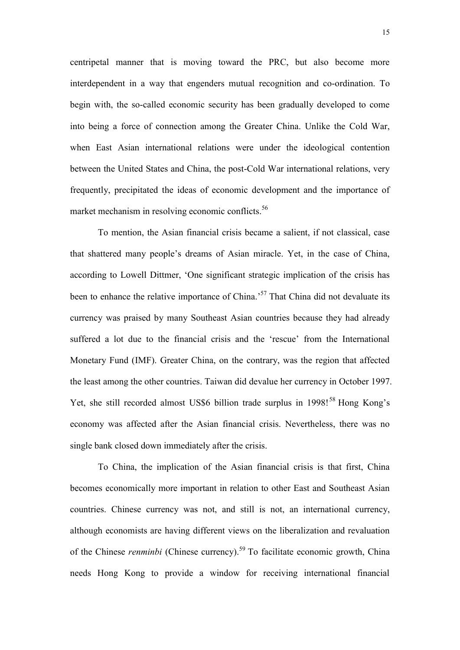centripetal manner that is moving toward the PRC, but also become more interdependent in a way that engenders mutual recognition and co-ordination. To begin with, the so-called economic security has been gradually developed to come into being a force of connection among the Greater China. Unlike the Cold War, when East Asian international relations were under the ideological contention between the United States and China, the post-Cold War international relations, very frequently, precipitated the ideas of economic development and the importance of market mechanism in resolving economic conflicts.<sup>56</sup>

To mention, the Asian financial crisis became a salient, if not classical, case that shattered many people"s dreams of Asian miracle. Yet, in the case of China, according to Lowell Dittmer, "One significant strategic implication of the crisis has been to enhance the relative importance of China.<sup>57</sup> That China did not devaluate its currency was praised by many Southeast Asian countries because they had already suffered a lot due to the financial crisis and the 'rescue' from the International Monetary Fund (IMF). Greater China, on the contrary, was the region that affected the least among the other countries. Taiwan did devalue her currency in October 1997. Yet, she still recorded almost US\$6 billion trade surplus in  $1998!^{58}$  Hong Kong's economy was affected after the Asian financial crisis. Nevertheless, there was no single bank closed down immediately after the crisis.

To China, the implication of the Asian financial crisis is that first, China becomes economically more important in relation to other East and Southeast Asian countries. Chinese currency was not, and still is not, an international currency, although economists are having different views on the liberalization and revaluation of the Chinese *renminbi* (Chinese currency).<sup>59</sup> To facilitate economic growth, China needs Hong Kong to provide a window for receiving international financial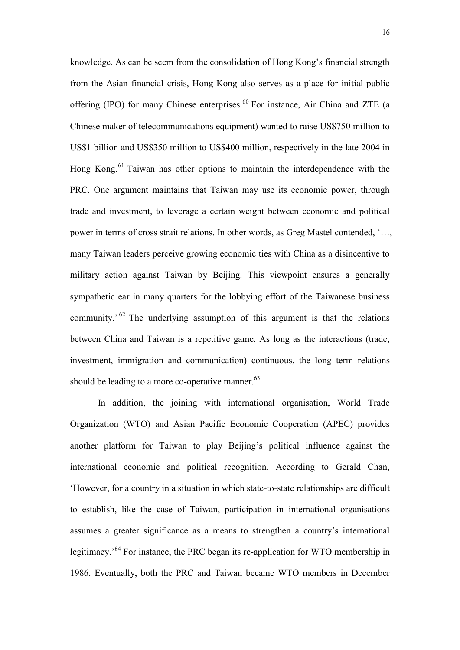knowledge. As can be seem from the consolidation of Hong Kong"s financial strength from the Asian financial crisis, Hong Kong also serves as a place for initial public offering (IPO) for many Chinese enterprises.<sup>60</sup> For instance, Air China and ZTE (a Chinese maker of telecommunications equipment) wanted to raise US\$750 million to US\$1 billion and US\$350 million to US\$400 million, respectively in the late 2004 in Hong Kong.<sup>61</sup> Taiwan has other options to maintain the interdependence with the PRC. One argument maintains that Taiwan may use its economic power, through trade and investment, to leverage a certain weight between economic and political power in terms of cross strait relations. In other words, as Greg Mastel contended, "…, many Taiwan leaders perceive growing economic ties with China as a disincentive to military action against Taiwan by Beijing. This viewpoint ensures a generally sympathetic ear in many quarters for the lobbying effort of the Taiwanese business community.<sup> $62$ </sup> The underlying assumption of this argument is that the relations between China and Taiwan is a repetitive game. As long as the interactions (trade, investment, immigration and communication) continuous, the long term relations should be leading to a more co-operative manner. $^{63}$ 

In addition, the joining with international organisation, World Trade Organization (WTO) and Asian Pacific Economic Cooperation (APEC) provides another platform for Taiwan to play Beijing"s political influence against the international economic and political recognition. According to Gerald Chan, "However, for a country in a situation in which state-to-state relationships are difficult to establish, like the case of Taiwan, participation in international organisations assumes a greater significance as a means to strengthen a country"s international legitimacy.<sup>, 64</sup> For instance, the PRC began its re-application for WTO membership in 1986. Eventually, both the PRC and Taiwan became WTO members in December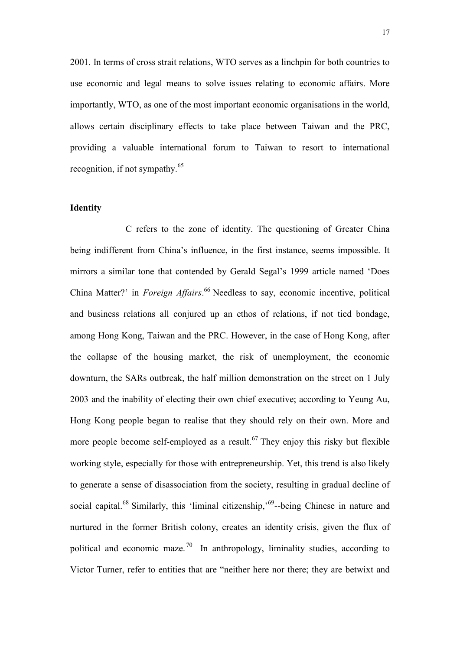2001. In terms of cross strait relations, WTO serves as a linchpin for both countries to use economic and legal means to solve issues relating to economic affairs. More importantly, WTO, as one of the most important economic organisations in the world, allows certain disciplinary effects to take place between Taiwan and the PRC, providing a valuable international forum to Taiwan to resort to international recognition, if not sympathy.<sup>65</sup>

## **Identity**

C refers to the zone of identity. The questioning of Greater China being indifferent from China"s influence, in the first instance, seems impossible. It mirrors a similar tone that contended by Gerald Segal"s 1999 article named "Does China Matter?" in *Foreign Affairs*. <sup>66</sup> Needless to say, economic incentive, political and business relations all conjured up an ethos of relations, if not tied bondage, among Hong Kong, Taiwan and the PRC. However, in the case of Hong Kong, after the collapse of the housing market, the risk of unemployment, the economic downturn, the SARs outbreak, the half million demonstration on the street on 1 July 2003 and the inability of electing their own chief executive; according to Yeung Au, Hong Kong people began to realise that they should rely on their own. More and more people become self-employed as a result.<sup>67</sup> They enjoy this risky but flexible working style, especially for those with entrepreneurship. Yet, this trend is also likely to generate a sense of disassociation from the society, resulting in gradual decline of social capital.<sup>68</sup> Similarly, this 'liminal citizenship,'<sup>69</sup>-being Chinese in nature and nurtured in the former British colony, creates an identity crisis, given the flux of political and economic maze.<sup>70</sup> In anthropology, liminality studies, according to Victor Turner, refer to entities that are "neither here nor there; they are betwixt and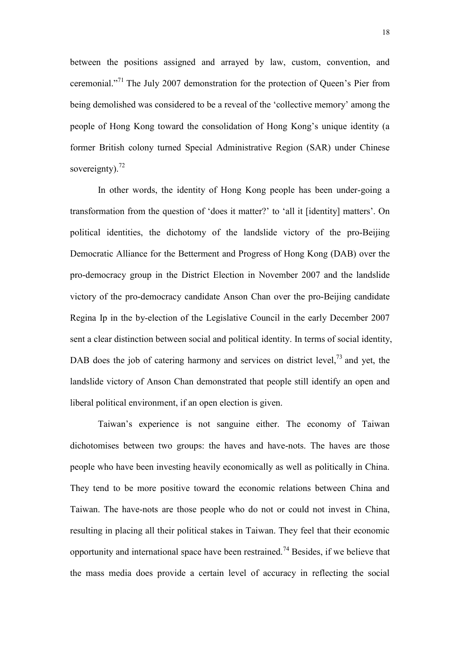between the positions assigned and arrayed by law, custom, convention, and ceremonial."<sup>71</sup> The July 2007 demonstration for the protection of Queen's Pier from being demolished was considered to be a reveal of the "collective memory" among the people of Hong Kong toward the consolidation of Hong Kong"s unique identity (a former British colony turned Special Administrative Region (SAR) under Chinese sovereignty). $^{72}$ 

In other words, the identity of Hong Kong people has been under-going a transformation from the question of "does it matter?" to "all it [identity] matters". On political identities, the dichotomy of the landslide victory of the pro-Beijing Democratic Alliance for the Betterment and Progress of Hong Kong (DAB) over the pro-democracy group in the District Election in November 2007 and the landslide victory of the pro-democracy candidate Anson Chan over the pro-Beijing candidate Regina Ip in the by-election of the Legislative Council in the early December 2007 sent a clear distinction between social and political identity. In terms of social identity, DAB does the job of catering harmony and services on district level,  $73$  and yet, the landslide victory of Anson Chan demonstrated that people still identify an open and liberal political environment, if an open election is given.

Taiwan"s experience is not sanguine either. The economy of Taiwan dichotomises between two groups: the haves and have-nots. The haves are those people who have been investing heavily economically as well as politically in China. They tend to be more positive toward the economic relations between China and Taiwan. The have-nots are those people who do not or could not invest in China, resulting in placing all their political stakes in Taiwan. They feel that their economic opportunity and international space have been restrained.<sup>74</sup> Besides, if we believe that the mass media does provide a certain level of accuracy in reflecting the social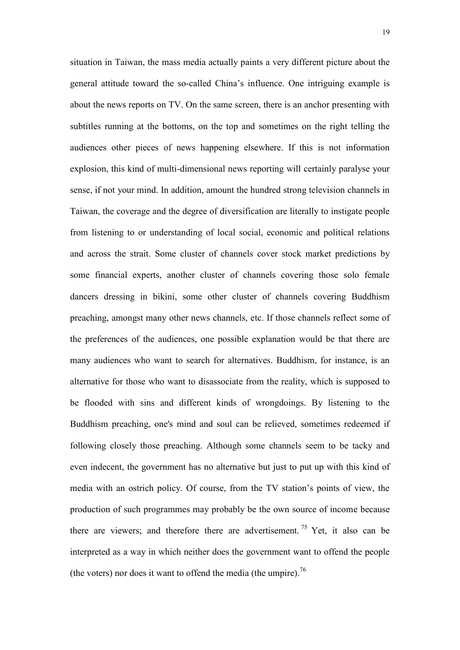situation in Taiwan, the mass media actually paints a very different picture about the general attitude toward the so-called China"s influence. One intriguing example is about the news reports on TV. On the same screen, there is an anchor presenting with subtitles running at the bottoms, on the top and sometimes on the right telling the audiences other pieces of news happening elsewhere. If this is not information explosion, this kind of multi-dimensional news reporting will certainly paralyse your sense, if not your mind. In addition, amount the hundred strong television channels in Taiwan, the coverage and the degree of diversification are literally to instigate people from listening to or understanding of local social, economic and political relations and across the strait. Some cluster of channels cover stock market predictions by some financial experts, another cluster of channels covering those solo female dancers dressing in bikini, some other cluster of channels covering Buddhism preaching, amongst many other news channels, etc. If those channels reflect some of the preferences of the audiences, one possible explanation would be that there are many audiences who want to search for alternatives. Buddhism, for instance, is an alternative for those who want to disassociate from the reality, which is supposed to be flooded with sins and different kinds of wrongdoings. By listening to the Buddhism preaching, one's mind and soul can be relieved, sometimes redeemed if following closely those preaching. Although some channels seem to be tacky and even indecent, the government has no alternative but just to put up with this kind of media with an ostrich policy. Of course, from the TV station"s points of view, the production of such programmes may probably be the own source of income because there are viewers; and therefore there are advertisement.<sup>75</sup> Yet, it also can be interpreted as a way in which neither does the government want to offend the people (the voters) nor does it want to offend the media (the umpire).<sup>76</sup>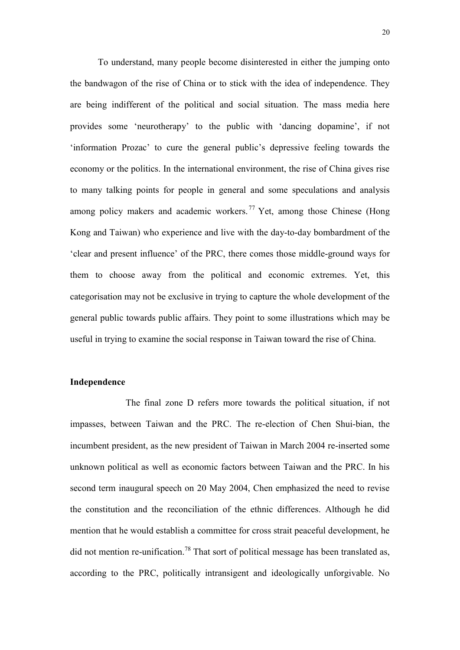To understand, many people become disinterested in either the jumping onto the bandwagon of the rise of China or to stick with the idea of independence. They are being indifferent of the political and social situation. The mass media here provides some "neurotherapy" to the public with "dancing dopamine", if not 'information Prozac' to cure the general public's depressive feeling towards the economy or the politics. In the international environment, the rise of China gives rise to many talking points for people in general and some speculations and analysis among policy makers and academic workers.<sup>77</sup> Yet, among those Chinese (Hong Kong and Taiwan) who experience and live with the day-to-day bombardment of the "clear and present influence" of the PRC, there comes those middle-ground ways for them to choose away from the political and economic extremes. Yet, this categorisation may not be exclusive in trying to capture the whole development of the general public towards public affairs. They point to some illustrations which may be useful in trying to examine the social response in Taiwan toward the rise of China.

#### **Independence**

The final zone D refers more towards the political situation, if not impasses, between Taiwan and the PRC. The re-election of Chen Shui-bian, the incumbent president, as the new president of Taiwan in March 2004 re-inserted some unknown political as well as economic factors between Taiwan and the PRC. In his second term inaugural speech on 20 May 2004, Chen emphasized the need to revise the constitution and the reconciliation of the ethnic differences. Although he did mention that he would establish a committee for cross strait peaceful development, he did not mention re-unification.<sup>78</sup> That sort of political message has been translated as, according to the PRC, politically intransigent and ideologically unforgivable. No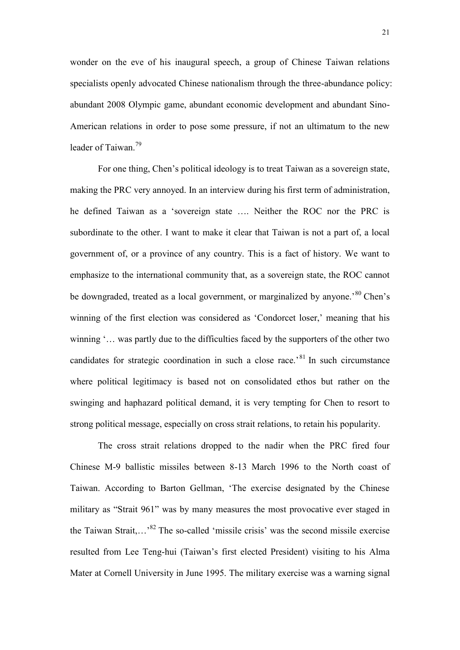wonder on the eve of his inaugural speech, a group of Chinese Taiwan relations specialists openly advocated Chinese nationalism through the three-abundance policy: abundant 2008 Olympic game, abundant economic development and abundant Sino-American relations in order to pose some pressure, if not an ultimatum to the new leader of Taiwan.<sup>79</sup>

For one thing, Chen"s political ideology is to treat Taiwan as a sovereign state, making the PRC very annoyed. In an interview during his first term of administration, he defined Taiwan as a "sovereign state …. Neither the ROC nor the PRC is subordinate to the other. I want to make it clear that Taiwan is not a part of, a local government of, or a province of any country. This is a fact of history. We want to emphasize to the international community that, as a sovereign state, the ROC cannot be downgraded, treated as a local government, or marginalized by anyone.<sup>80</sup> Chen's winning of the first election was considered as 'Condorcet loser,' meaning that his winning "... was partly due to the difficulties faced by the supporters of the other two candidates for strategic coordination in such a close race.'<sup>81</sup> In such circumstance where political legitimacy is based not on consolidated ethos but rather on the swinging and haphazard political demand, it is very tempting for Chen to resort to strong political message, especially on cross strait relations, to retain his popularity.

The cross strait relations dropped to the nadir when the PRC fired four Chinese M-9 ballistic missiles between 8-13 March 1996 to the North coast of Taiwan. According to Barton Gellman, "The exercise designated by the Chinese military as "Strait 961" was by many measures the most provocative ever staged in the Taiwan Strait,...<sup>82</sup> The so-called 'missile crisis' was the second missile exercise resulted from Lee Teng-hui (Taiwan"s first elected President) visiting to his Alma Mater at Cornell University in June 1995. The military exercise was a warning signal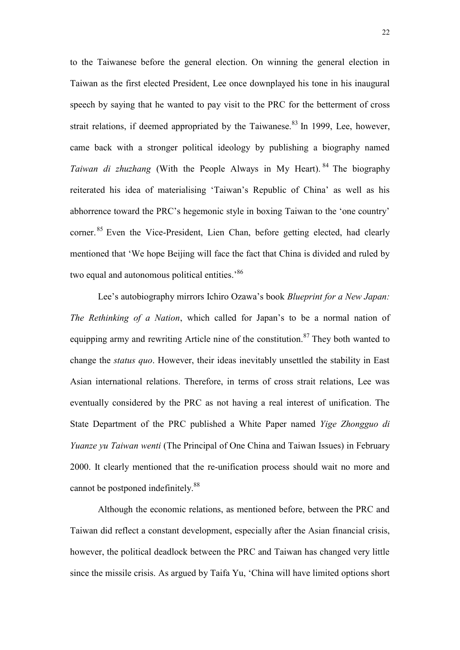to the Taiwanese before the general election. On winning the general election in Taiwan as the first elected President, Lee once downplayed his tone in his inaugural speech by saying that he wanted to pay visit to the PRC for the betterment of cross strait relations, if deemed appropriated by the Taiwanese. $83$  In 1999, Lee, however, came back with a stronger political ideology by publishing a biography named *Taiwan di zhuzhang* (With the People Always in My Heart). <sup>84</sup> The biography reiterated his idea of materialising "Taiwan"s Republic of China" as well as his abhorrence toward the PRC"s hegemonic style in boxing Taiwan to the "one country" corner. <sup>85</sup> Even the Vice-President, Lien Chan, before getting elected, had clearly mentioned that "We hope Beijing will face the fact that China is divided and ruled by two equal and autonomous political entities.<sup>86</sup>

Lee's autobiography mirrors Ichiro Ozawa's book *Blueprint for a New Japan*: *The Rethinking of a Nation*, which called for Japan"s to be a normal nation of equipping army and rewriting Article nine of the constitution. $87$  They both wanted to change the *status quo*. However, their ideas inevitably unsettled the stability in East Asian international relations. Therefore, in terms of cross strait relations, Lee was eventually considered by the PRC as not having a real interest of unification. The State Department of the PRC published a White Paper named *Yige Zhongguo di Yuanze yu Taiwan wenti* (The Principal of One China and Taiwan Issues) in February 2000. It clearly mentioned that the re-unification process should wait no more and cannot be postponed indefinitely.<sup>88</sup>

Although the economic relations, as mentioned before, between the PRC and Taiwan did reflect a constant development, especially after the Asian financial crisis, however, the political deadlock between the PRC and Taiwan has changed very little since the missile crisis. As argued by Taifa Yu, "China will have limited options short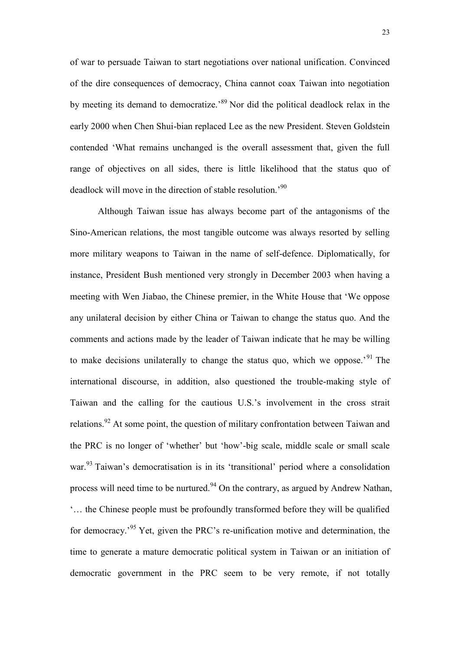of war to persuade Taiwan to start negotiations over national unification. Convinced of the dire consequences of democracy, China cannot coax Taiwan into negotiation by meeting its demand to democratize."<sup>89</sup> Nor did the political deadlock relax in the early 2000 when Chen Shui-bian replaced Lee as the new President. Steven Goldstein contended "What remains unchanged is the overall assessment that, given the full range of objectives on all sides, there is little likelihood that the status quo of deadlock will move in the direction of stable resolution.<sup>90</sup>

Although Taiwan issue has always become part of the antagonisms of the Sino-American relations, the most tangible outcome was always resorted by selling more military weapons to Taiwan in the name of self-defence. Diplomatically, for instance, President Bush mentioned very strongly in December 2003 when having a meeting with Wen Jiabao, the Chinese premier, in the White House that "We oppose any unilateral decision by either China or Taiwan to change the status quo. And the comments and actions made by the leader of Taiwan indicate that he may be willing to make decisions unilaterally to change the status quo, which we oppose.<sup>91</sup> The international discourse, in addition, also questioned the trouble-making style of Taiwan and the calling for the cautious U.S."s involvement in the cross strait relations.<sup>92</sup> At some point, the question of military confrontation between Taiwan and the PRC is no longer of "whether" but "how"-big scale, middle scale or small scale war.<sup>93</sup> Taiwan's democratisation is in its 'transitional' period where a consolidation process will need time to be nurtured.<sup>94</sup> On the contrary, as argued by Andrew Nathan, "… the Chinese people must be profoundly transformed before they will be qualified for democracy.<sup>95</sup> Yet, given the PRC's re-unification motive and determination, the time to generate a mature democratic political system in Taiwan or an initiation of democratic government in the PRC seem to be very remote, if not totally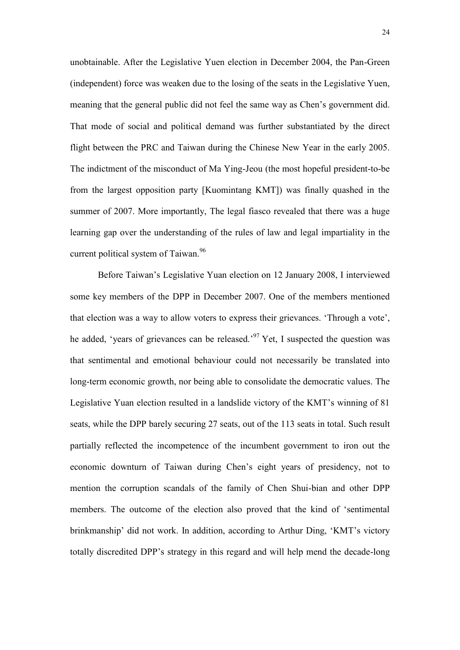unobtainable. After the Legislative Yuen election in December 2004, the Pan-Green (independent) force was weaken due to the losing of the seats in the Legislative Yuen, meaning that the general public did not feel the same way as Chen"s government did. That mode of social and political demand was further substantiated by the direct flight between the PRC and Taiwan during the Chinese New Year in the early 2005. The indictment of the misconduct of Ma Ying-Jeou (the most hopeful president-to-be from the largest opposition party [Kuomintang KMT]) was finally quashed in the summer of 2007. More importantly, The legal fiasco revealed that there was a huge learning gap over the understanding of the rules of law and legal impartiality in the current political system of Taiwan.<sup>96</sup>

Before Taiwan"s Legislative Yuan election on 12 January 2008, I interviewed some key members of the DPP in December 2007. One of the members mentioned that election was a way to allow voters to express their grievances. "Through a vote", he added, 'years of grievances can be released.'<sup>97</sup> Yet, I suspected the question was that sentimental and emotional behaviour could not necessarily be translated into long-term economic growth, nor being able to consolidate the democratic values. The Legislative Yuan election resulted in a landslide victory of the KMT"s winning of 81 seats, while the DPP barely securing 27 seats, out of the 113 seats in total. Such result partially reflected the incompetence of the incumbent government to iron out the economic downturn of Taiwan during Chen"s eight years of presidency, not to mention the corruption scandals of the family of Chen Shui-bian and other DPP members. The outcome of the election also proved that the kind of "sentimental brinkmanship" did not work. In addition, according to Arthur Ding, "KMT"s victory totally discredited DPP"s strategy in this regard and will help mend the decade-long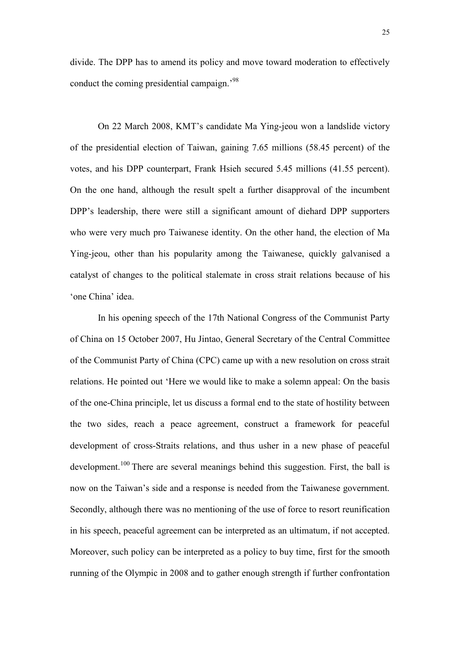divide. The DPP has to amend its policy and move toward moderation to effectively conduct the coming presidential campaign.<sup>'98</sup>

On 22 March 2008, KMT"s candidate Ma Ying-jeou won a landslide victory of the presidential election of Taiwan, gaining 7.65 millions (58.45 percent) of the votes, and his DPP counterpart, Frank Hsieh secured 5.45 millions (41.55 percent). On the one hand, although the result spelt a further disapproval of the incumbent DPP"s leadership, there were still a significant amount of diehard DPP supporters who were very much pro Taiwanese identity. On the other hand, the election of Ma Ying-jeou, other than his popularity among the Taiwanese, quickly galvanised a catalyst of changes to the political stalemate in cross strait relations because of his 'one China' idea.

In his opening speech of the 17th National Congress of the Communist Party of China on 15 October 2007, Hu Jintao, General Secretary of the Central Committee of the Communist Party of China (CPC) came up with a new resolution on cross strait relations. He pointed out "Here we would like to make a solemn appeal: On the basis of the one-China principle, let us discuss a formal end to the state of hostility between the two sides, reach a peace agreement, construct a framework for peaceful development of cross-Straits relations, and thus usher in a new phase of peaceful development.<sup>100</sup> There are several meanings behind this suggestion. First, the ball is now on the Taiwan"s side and a response is needed from the Taiwanese government. Secondly, although there was no mentioning of the use of force to resort reunification in his speech, peaceful agreement can be interpreted as an ultimatum, if not accepted. Moreover, such policy can be interpreted as a policy to buy time, first for the smooth running of the Olympic in 2008 and to gather enough strength if further confrontation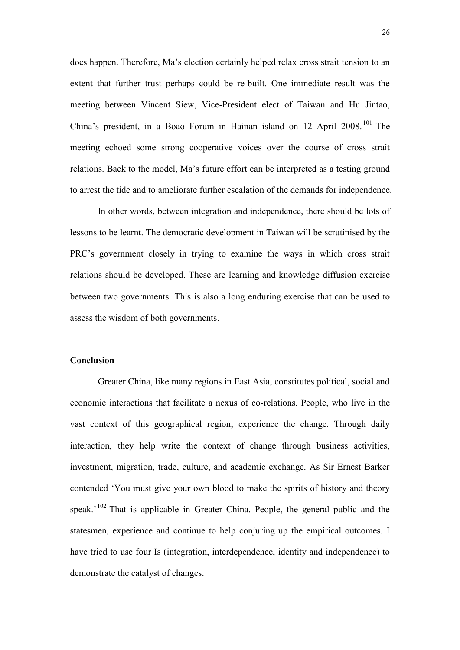does happen. Therefore, Ma"s election certainly helped relax cross strait tension to an extent that further trust perhaps could be re-built. One immediate result was the meeting between Vincent Siew, Vice-President elect of Taiwan and Hu Jintao, China"s president, in a Boao Forum in Hainan island on 12 April 2008. <sup>101</sup> The meeting echoed some strong cooperative voices over the course of cross strait relations. Back to the model, Ma"s future effort can be interpreted as a testing ground to arrest the tide and to ameliorate further escalation of the demands for independence.

In other words, between integration and independence, there should be lots of lessons to be learnt. The democratic development in Taiwan will be scrutinised by the PRC"s government closely in trying to examine the ways in which cross strait relations should be developed. These are learning and knowledge diffusion exercise between two governments. This is also a long enduring exercise that can be used to assess the wisdom of both governments.

#### **Conclusion**

Greater China, like many regions in East Asia, constitutes political, social and economic interactions that facilitate a nexus of co-relations. People, who live in the vast context of this geographical region, experience the change. Through daily interaction, they help write the context of change through business activities, investment, migration, trade, culture, and academic exchange. As Sir Ernest Barker contended "You must give your own blood to make the spirits of history and theory speak.<sup> $102$ </sup> That is applicable in Greater China. People, the general public and the statesmen, experience and continue to help conjuring up the empirical outcomes. I have tried to use four Is (integration, interdependence, identity and independence) to demonstrate the catalyst of changes.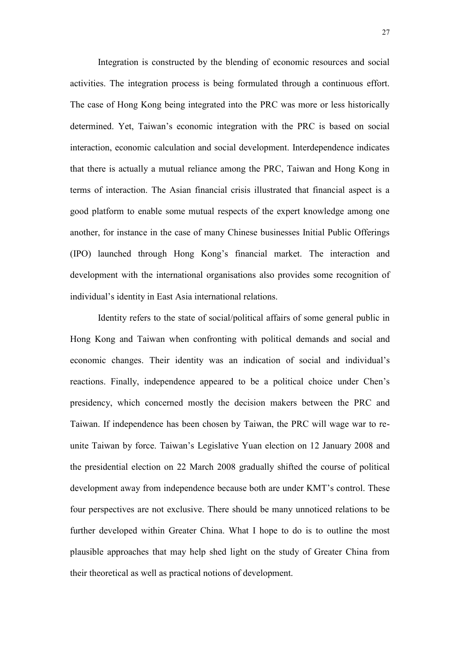Integration is constructed by the blending of economic resources and social activities. The integration process is being formulated through a continuous effort. The case of Hong Kong being integrated into the PRC was more or less historically determined. Yet, Taiwan"s economic integration with the PRC is based on social interaction, economic calculation and social development. Interdependence indicates that there is actually a mutual reliance among the PRC, Taiwan and Hong Kong in terms of interaction. The Asian financial crisis illustrated that financial aspect is a good platform to enable some mutual respects of the expert knowledge among one another, for instance in the case of many Chinese businesses Initial Public Offerings (IPO) launched through Hong Kong"s financial market. The interaction and development with the international organisations also provides some recognition of individual"s identity in East Asia international relations.

Identity refers to the state of social/political affairs of some general public in Hong Kong and Taiwan when confronting with political demands and social and economic changes. Their identity was an indication of social and individual"s reactions. Finally, independence appeared to be a political choice under Chen"s presidency, which concerned mostly the decision makers between the PRC and Taiwan. If independence has been chosen by Taiwan, the PRC will wage war to reunite Taiwan by force. Taiwan"s Legislative Yuan election on 12 January 2008 and the presidential election on 22 March 2008 gradually shifted the course of political development away from independence because both are under KMT"s control. These four perspectives are not exclusive. There should be many unnoticed relations to be further developed within Greater China. What I hope to do is to outline the most plausible approaches that may help shed light on the study of Greater China from their theoretical as well as practical notions of development.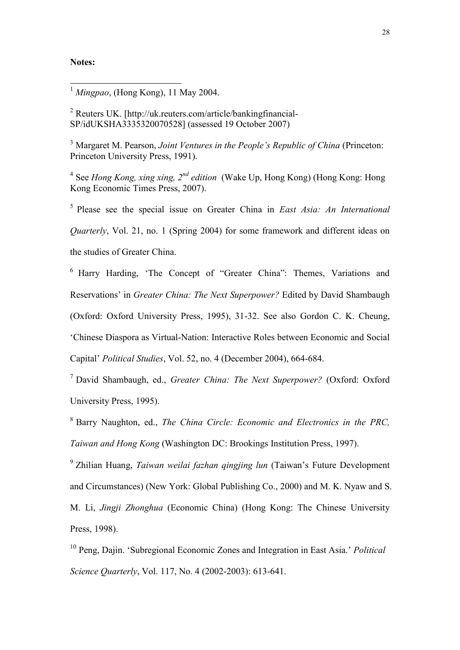#### **Notes:**

1

<sup>2</sup> Reuters UK. [http://uk.reuters.com/article/bankingfinancial-SP/idUKSHA3335320070528] (assessed 19 October 2007)

<sup>3</sup> Margaret M. Pearson, *Joint Ventures in the People's Republic of China* (Princeton: Princeton University Press, 1991).

<sup>4</sup> See *Hong Kong, xing xing, 2<sup>nd</sup> edition* (Wake Up, Hong Kong) (Hong Kong: Hong Kong Economic Times Press, 2007).

5 Please see the special issue on Greater China in *East Asia: An International Quarterly*, Vol. 21, no. 1 (Spring 2004) for some framework and different ideas on the studies of Greater China.

<sup>6</sup> Harry Harding, "The Concept of "Greater China": Themes, Variations and Reservations" in *Greater China: The Next Superpower?* Edited by David Shambaugh (Oxford: Oxford University Press, 1995), 31-32. See also Gordon C. K. Cheung, "Chinese Diaspora as Virtual-Nation: Interactive Roles between Economic and Social Capital" *Political Studies*, Vol. 52, no. 4 (December 2004), 664-684.

<sup>7</sup> David Shambaugh, ed., *Greater China: The Next Superpower?* (Oxford: Oxford University Press, 1995).

<sup>8</sup> Barry Naughton, ed., *The China Circle: Economic and Electronics in the PRC, Taiwan and Hong Kong* (Washington DC: Brookings Institution Press, 1997).

9 Zhilian Huang, *Taiwan weilai fazhan qingjing lun* (Taiwan"s Future Development and Circumstances) (New York: Global Publishing Co., 2000) and M. K. Nyaw and S. M. Li, *Jingji Zhonghua* (Economic China) (Hong Kong: The Chinese University Press, 1998).

<sup>10</sup> Peng, Dajin. "Subregional Economic Zones and Integration in East Asia." *Political Science Quarterly*, Vol. 117, No. 4 (2002-2003): 613-641.

<sup>1</sup> *Mingpao*, (Hong Kong), 11 May 2004.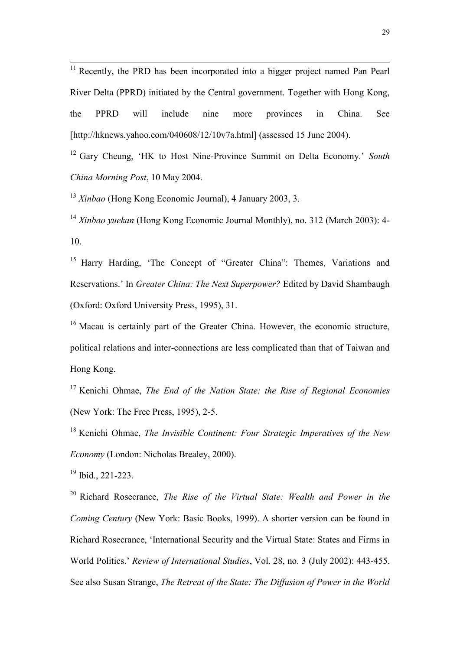<sup>11</sup> Recently, the PRD has been incorporated into a bigger project named Pan Pearl River Delta (PPRD) initiated by the Central government. Together with Hong Kong, the PPRD will include nine more provinces in China. See [http://hknews.yahoo.com/040608/12/10v7a.html] (assessed 15 June 2004).

<sup>12</sup> Gary Cheung, "HK to Host Nine-Province Summit on Delta Economy." *South China Morning Post*, 10 May 2004.

<sup>13</sup> *Xinbao* (Hong Kong Economic Journal), 4 January 2003, 3.

<sup>14</sup> *Xinbao yuekan* (Hong Kong Economic Journal Monthly), no. 312 (March 2003): 4- 10.

<sup>15</sup> Harry Harding, 'The Concept of "Greater China": Themes, Variations and Reservations." In *Greater China: The Next Superpower?* Edited by David Shambaugh (Oxford: Oxford University Press, 1995), 31.

<sup>16</sup> Macau is certainly part of the Greater China. However, the economic structure, political relations and inter-connections are less complicated than that of Taiwan and Hong Kong.

<sup>17</sup> Kenichi Ohmae, *The End of the Nation State: the Rise of Regional Economies* (New York: The Free Press, 1995), 2-5.

<sup>18</sup> Kenichi Ohmae, *The Invisible Continent: Four Strategic Imperatives of the New Economy* (London: Nicholas Brealey, 2000).

<sup>19</sup> Ibid., 221-223.

 $\overline{a}$ 

<sup>20</sup> Richard Rosecrance, *The Rise of the Virtual State: Wealth and Power in the Coming Century* (New York: Basic Books, 1999). A shorter version can be found in Richard Rosecrance, "International Security and the Virtual State: States and Firms in World Politics." *Review of International Studies*, Vol. 28, no. 3 (July 2002): 443-455. See also Susan Strange, *The Retreat of the State: The Diffusion of Power in the World*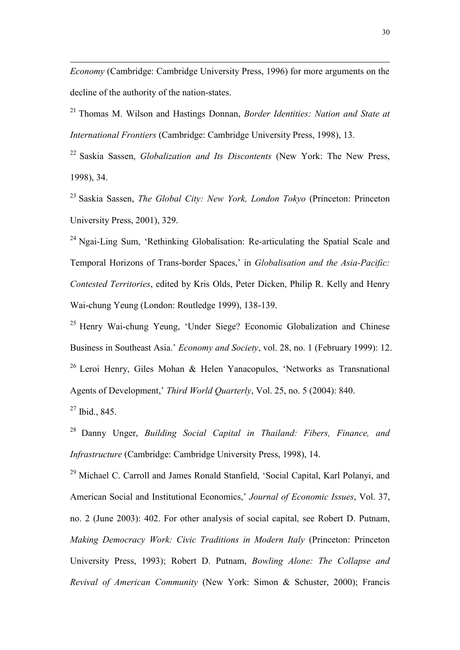*Economy* (Cambridge: Cambridge University Press, 1996) for more arguments on the decline of the authority of the nation-states.

<sup>21</sup> Thomas M. Wilson and Hastings Donnan, *Border Identities: Nation and State at International Frontiers* (Cambridge: Cambridge University Press, 1998), 13.

<sup>22</sup> Saskia Sassen, *Globalization and Its Discontents* (New York: The New Press, 1998), 34.

<sup>23</sup> Saskia Sassen, *The Global City: New York, London Tokyo* (Princeton: Princeton University Press, 2001), 329.

 $24$  Ngai-Ling Sum, 'Rethinking Globalisation: Re-articulating the Spatial Scale and Temporal Horizons of Trans-border Spaces," in *Globalisation and the Asia-Pacific: Contested Territories*, edited by Kris Olds, Peter Dicken, Philip R. Kelly and Henry Wai-chung Yeung (London: Routledge 1999), 138-139.

<sup>25</sup> Henry Wai-chung Yeung, "Under Siege? Economic Globalization and Chinese Business in Southeast Asia." *Economy and Society*, vol. 28, no. 1 (February 1999): 12. <sup>26</sup> Leroi Henry, Giles Mohan & Helen Yanacopulos, 'Networks as Transnational Agents of Development," *Third World Quarterly*, Vol. 25, no. 5 (2004): 840.

 $27$  Ibid., 845.

 $\overline{a}$ 

<sup>28</sup> Danny Unger, *Building Social Capital in Thailand: Fibers, Finance, and Infrastructure* (Cambridge: Cambridge University Press, 1998), 14.

<sup>29</sup> Michael C. Carroll and James Ronald Stanfield, 'Social Capital, Karl Polanyi, and American Social and Institutional Economics," *Journal of Economic Issues*, Vol. 37, no. 2 (June 2003): 402. For other analysis of social capital, see Robert D. Putnam, *Making Democracy Work: Civic Traditions in Modern Italy* (Princeton: Princeton University Press, 1993); Robert D. Putnam, *Bowling Alone: The Collapse and Revival of American Community* (New York: Simon & Schuster, 2000); Francis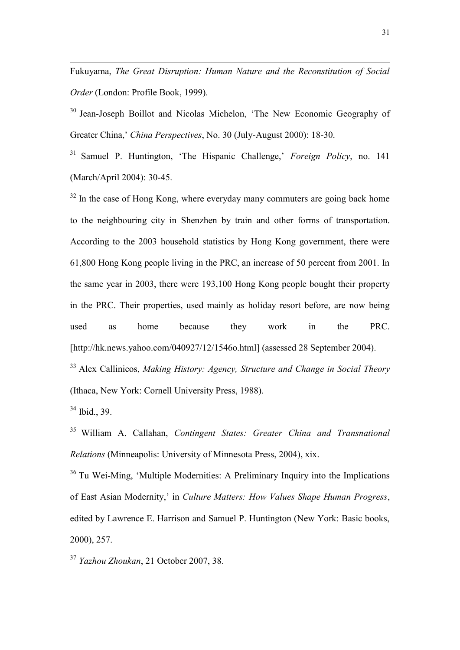Fukuyama, *The Great Disruption: Human Nature and the Reconstitution of Social Order* (London: Profile Book, 1999).

<sup>30</sup> Jean-Joseph Boillot and Nicolas Michelon, 'The New Economic Geography of Greater China," *China Perspectives*, No. 30 (July-August 2000): 18-30.

<sup>31</sup> Samuel P. Huntington, 'The Hispanic Challenge,' *Foreign Policy*, no. 141 (March/April 2004): 30-45.

 $32$  In the case of Hong Kong, where everyday many commuters are going back home to the neighbouring city in Shenzhen by train and other forms of transportation. According to the 2003 household statistics by Hong Kong government, there were 61,800 Hong Kong people living in the PRC, an increase of 50 percent from 2001. In the same year in 2003, there were 193,100 Hong Kong people bought their property in the PRC. Their properties, used mainly as holiday resort before, are now being used as home because they work in the PRC. [http://hk.news.yahoo.com/040927/12/1546o.html] (assessed 28 September 2004).

<sup>33</sup> Alex Callinicos, *Making History: Agency, Structure and Change in Social Theory* (Ithaca, New York: Cornell University Press, 1988).

 $34$  Ibid., 39.

 $\overline{a}$ 

<sup>35</sup> William A. Callahan, *Contingent States: Greater China and Transnational Relations* (Minneapolis: University of Minnesota Press, 2004), xix.

<sup>36</sup> Tu Wei-Ming, "Multiple Modernities: A Preliminary Inquiry into the Implications of East Asian Modernity," in *Culture Matters: How Values Shape Human Progress*, edited by Lawrence E. Harrison and Samuel P. Huntington (New York: Basic books, 2000), 257.

<sup>37</sup> *Yazhou Zhoukan*, 21 October 2007, 38.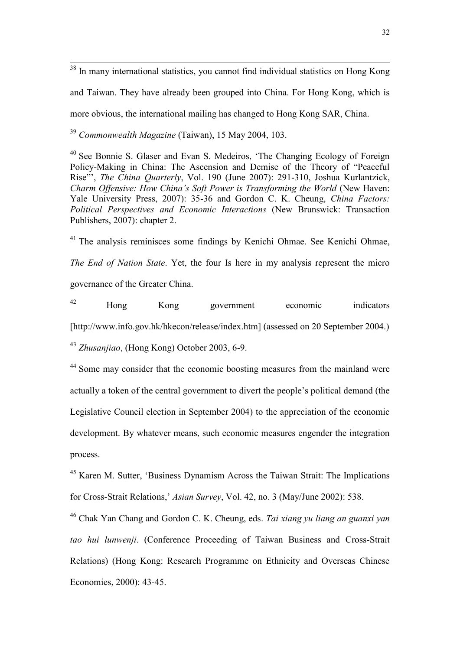$38$  In many international statistics, you cannot find individual statistics on Hong Kong and Taiwan. They have already been grouped into China. For Hong Kong, which is more obvious, the international mailing has changed to Hong Kong SAR, China.

<sup>39</sup> *Commonwealth Magazine* (Taiwan), 15 May 2004, 103.

 $\overline{a}$ 

<sup>40</sup> See Bonnie S. Glaser and Evan S. Medeiros, "The Changing Ecology of Foreign Policy-Making in China: The Ascension and Demise of the Theory of "Peaceful Rise"", *The China Quarterly*, Vol. 190 (June 2007): 291-310, Joshua Kurlantzick, *Charm Offensive: How China's Soft Power is Transforming the World* (New Haven: Yale University Press, 2007): 35-36 and Gordon C. K. Cheung, *China Factors: Political Perspectives and Economic Interactions* (New Brunswick: Transaction Publishers, 2007): chapter 2.

 $41$  The analysis reminisces some findings by Kenichi Ohmae. See Kenichi Ohmae, *The End of Nation State*. Yet, the four Is here in my analysis represent the micro governance of the Greater China.

<sup>42</sup> Hong Kong government economic indicators [http://www.info.gov.hk/hkecon/release/index.htm] (assessed on 20 September 2004.) <sup>43</sup> *Zhusanjiao*, (Hong Kong) October 2003, 6-9.

<sup>44</sup> Some may consider that the economic boosting measures from the mainland were actually a token of the central government to divert the people"s political demand (the Legislative Council election in September 2004) to the appreciation of the economic development. By whatever means, such economic measures engender the integration process.

<sup>45</sup> Karen M. Sutter, "Business Dynamism Across the Taiwan Strait: The Implications for Cross-Strait Relations," *Asian Survey*, Vol. 42, no. 3 (May/June 2002): 538.

<sup>46</sup> Chak Yan Chang and Gordon C. K. Cheung, eds. *Tai xiang yu liang an guanxi yan tao hui lunwenji*. (Conference Proceeding of Taiwan Business and Cross-Strait Relations) (Hong Kong: Research Programme on Ethnicity and Overseas Chinese Economies, 2000): 43-45.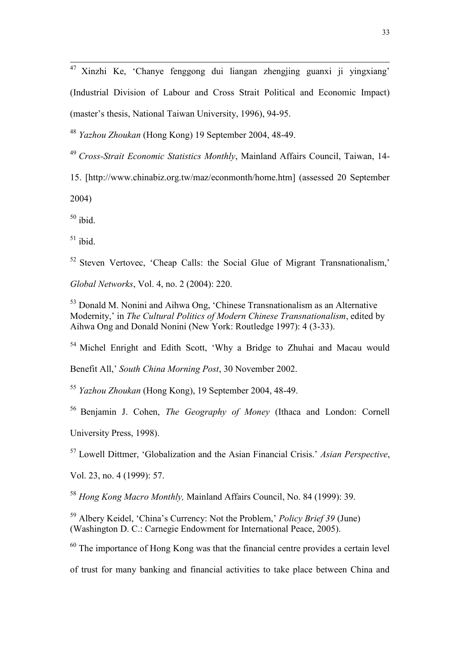$47$  Xinzhi Ke, 'Chanye fenggong dui liangan zhengjing guanxi ji yingxiang' (Industrial Division of Labour and Cross Strait Political and Economic Impact) (master"s thesis, National Taiwan University, 1996), 94-95.

<sup>48</sup> *Yazhou Zhoukan* (Hong Kong) 19 September 2004, 48-49.

<sup>49</sup> *Cross-Strait Economic Statistics Monthly*, Mainland Affairs Council, Taiwan, 14-

15. [http://www.chinabiz.org.tw/maz/econmonth/home.htm] (assessed 20 September

2004)

 $\overline{a}$ 

 $50$  ibid.

 $51$  ibid.

 $52$  Steven Vertovec, 'Cheap Calls: the Social Glue of Migrant Transnationalism,'

*Global Networks*, Vol. 4, no. 2 (2004): 220.

 $53$  Donald M. Nonini and Aihwa Ong, 'Chinese Transnationalism as an Alternative Modernity," in *The Cultural Politics of Modern Chinese Transnationalism*, edited by Aihwa Ong and Donald Nonini (New York: Routledge 1997): 4 (3-33).

<sup>54</sup> Michel Enright and Edith Scott, "Why a Bridge to Zhuhai and Macau would

Benefit All," *South China Morning Post*, 30 November 2002.

<sup>55</sup> *Yazhou Zhoukan* (Hong Kong), 19 September 2004, 48-49.

<sup>56</sup> Benjamin J. Cohen, *The Geography of Money* (Ithaca and London: Cornell

University Press, 1998).

<sup>57</sup> Lowell Dittmer, "Globalization and the Asian Financial Crisis." *Asian Perspective*,

Vol. 23, no. 4 (1999): 57.

<sup>58</sup> *Hong Kong Macro Monthly,* Mainland Affairs Council, No. 84 (1999): 39.

<sup>59</sup> Albery Keidel, "China"s Currency: Not the Problem," *Policy Brief 39* (June) (Washington D. C.: Carnegie Endowment for International Peace, 2005).

 $60$  The importance of Hong Kong was that the financial centre provides a certain level

of trust for many banking and financial activities to take place between China and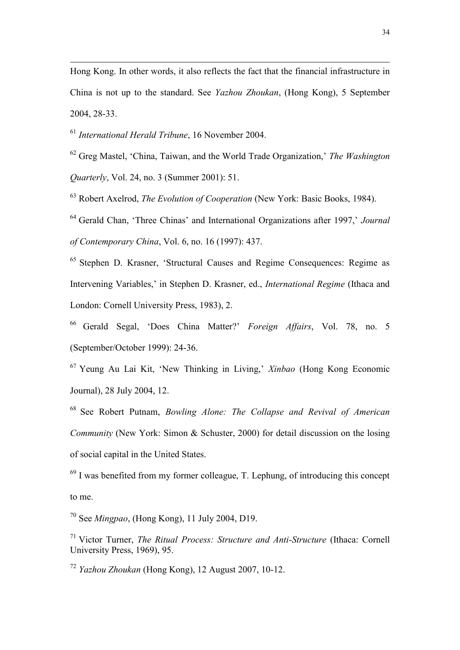Hong Kong. In other words, it also reflects the fact that the financial infrastructure in China is not up to the standard. See *Yazhou Zhoukan*, (Hong Kong), 5 September 2004, 28-33.

<sup>61</sup> *International Herald Tribune*, 16 November 2004.

 $\overline{a}$ 

<sup>62</sup> Greg Mastel, "China, Taiwan, and the World Trade Organization," *The Washington Quarterly*, Vol. 24, no. 3 (Summer 2001): 51.

<sup>63</sup> Robert Axelrod, *The Evolution of Cooperation* (New York: Basic Books, 1984).

<sup>64</sup> Gerald Chan, 'Three Chinas' and International Organizations after 1997,' *Journal of Contemporary China*, Vol. 6, no. 16 (1997): 437.

<sup>65</sup> Stephen D. Krasner, "Structural Causes and Regime Consequences: Regime as Intervening Variables," in Stephen D. Krasner, ed., *International Regime* (Ithaca and London: Cornell University Press, 1983), 2.

<sup>66</sup> Gerald Segal, "Does China Matter?" *Foreign Affairs*, Vol. 78, no. 5 (September/October 1999): 24-36.

<sup>67</sup> Yeung Au Lai Kit, "New Thinking in Living," *Xinbao* (Hong Kong Economic Journal), 28 July 2004, 12.

<sup>68</sup> See Robert Putnam, *Bowling Alone: The Collapse and Revival of American Community* (New York: Simon & Schuster, 2000) for detail discussion on the losing of social capital in the United States.

 $69$  I was benefited from my former colleague, T. Lephung, of introducing this concept to me.

<sup>70</sup> See *Mingpao*, (Hong Kong), 11 July 2004, D19.

<sup>71</sup> Victor Turner, *The Ritual Process: Structure and Anti-Structure* (Ithaca: Cornell University Press, 1969), 95.

<sup>72</sup> *Yazhou Zhoukan* (Hong Kong), 12 August 2007, 10-12.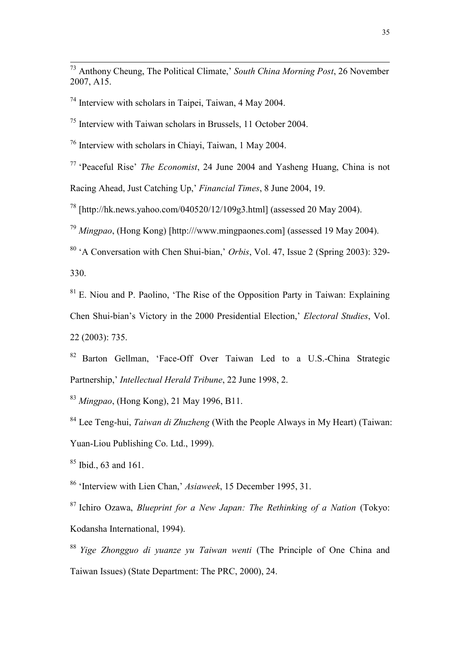<sup>73</sup> Anthony Cheung, The Political Climate," *South China Morning Post*, 26 November 2007, A15.

<sup>74</sup> Interview with scholars in Taipei, Taiwan, 4 May 2004.

 $\overline{a}$ 

 $<sup>75</sup>$  Interview with Taiwan scholars in Brussels, 11 October 2004.</sup>

<sup>76</sup> Interview with scholars in Chiayi, Taiwan, 1 May 2004.

<sup>77</sup> "Peaceful Rise" *The Economist*, 24 June 2004 and Yasheng Huang, China is not

Racing Ahead, Just Catching Up," *Financial Times*, 8 June 2004, 19.

<sup>78</sup> [http://hk.news.yahoo.com/040520/12/109g3.html] (assessed 20 May 2004).

<sup>79</sup> *Mingpao*, (Hong Kong) [http:///www.mingpaones.com] (assessed 19 May 2004).

<sup>80</sup> "A Conversation with Chen Shui-bian," *Orbis*, Vol. 47, Issue 2 (Spring 2003): 329- 330.

 $81$  E. Niou and P. Paolino, 'The Rise of the Opposition Party in Taiwan: Explaining Chen Shui-bian"s Victory in the 2000 Presidential Election," *Electoral Studies*, Vol. 22 (2003): 735.

<sup>82</sup> Barton Gellman, "Face-Off Over Taiwan Led to a U.S.-China Strategic Partnership," *Intellectual Herald Tribune*, 22 June 1998, 2.

<sup>83</sup> *Mingpao*, (Hong Kong), 21 May 1996, B11.

<sup>84</sup> Lee Teng-hui, *Taiwan di Zhuzheng* (With the People Always in My Heart) (Taiwan: Yuan-Liou Publishing Co. Ltd., 1999).

<sup>85</sup> Ibid., 63 and 161.

<sup>86</sup> "Interview with Lien Chan," *Asiaweek*, 15 December 1995, 31.

<sup>87</sup> Ichiro Ozawa, *Blueprint for a New Japan: The Rethinking of a Nation* (Tokyo: Kodansha International, 1994).

<sup>88</sup> *Yige Zhongguo di yuanze yu Taiwan wenti* (The Principle of One China and Taiwan Issues) (State Department: The PRC, 2000), 24.